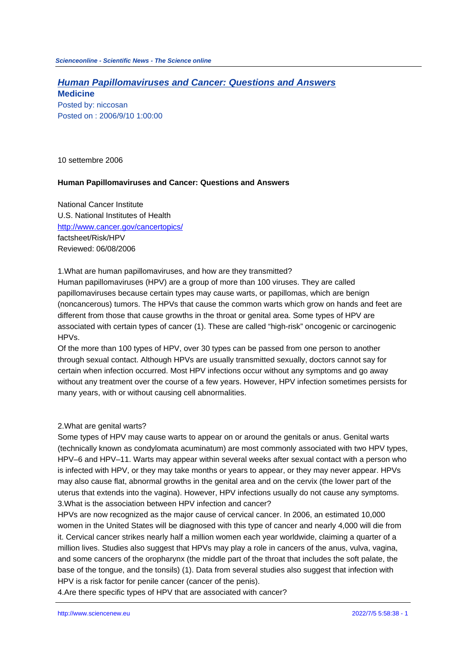## **Human Papillomaviruses and Cancer: Questions and Answers**

**Medicine** Posted by: niccosan Posted on : 2006/9/10 1:00:00

10 settembre 2006

## **Human Papillomaviruses and Cancer: Questions and Answers**

National Cancer Institute U.S. National Institutes of Health http://www.cancer.gov/cancertopics/ factsheet/Risk/HPV Reviewed: 06/08/2006

1. What are human papillomaviruses, and how are they transmitted?

Human papillomaviruses (HPV) are a group of more than 100 viruses. They are called papillomaviruses because certain types may cause warts, or papillomas, which are benign (noncancerous) tumors. The HPVs that cause the common warts which grow on hands and feet are different from those that cause growths in the throat or genital area. Some types of HPV are associated with certain types of cancer (1). These are called "high-risk" oncogenic or carcinogenic HPVs.

Of the more than 100 types of HPV, over 30 types can be passed from one person to another through sexual contact. Although HPVs are usually transmitted sexually, doctors cannot say for certain when infection occurred. Most HPV infections occur without any symptoms and go away without any treatment over the course of a few years. However, HPV infection sometimes persists for many years, with or without causing cell abnormalities.

## 2. What are genital warts?

Some types of HPV may cause warts to appear on or around the genitals or anus. Genital warts (technically known as condylomata acuminatum) are most commonly associated with two HPV types, HPV–6 and HPV–11. Warts may appear within several weeks after sexual contact with a person who is infected with HPV, or they may take months or years to appear, or they may never appear. HPVs may also cause flat, abnormal growths in the genital area and on the cervix (the lower part of the uterus that extends into the vagina). However, HPV infections usually do not cause any symptoms. 3. What is the association between HPV infection and cancer?

HPVs are now recognized as the major cause of cervical cancer. In 2006, an estimated 10,000 women in the United States will be diagnosed with this type of cancer and nearly 4,000 will die from it. Cervical cancer strikes nearly half a million women each year worldwide, claiming a quarter of a million lives. Studies also suggest that HPVs may play a role in cancers of the anus, vulva, vagina, and some cancers of the oropharynx (the middle part of the throat that includes the soft palate, the base of the tongue, and the tonsils) (1). Data from several studies also suggest that infection with HPV is a risk factor for penile cancer (cancer of the penis).

4. Are there specific types of HPV that are associated with cancer?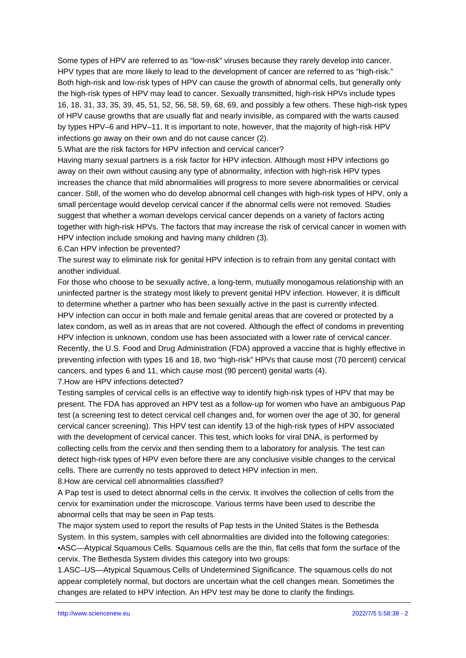Some types of HPV are referred to as "low-risk" viruses because they rarely develop into cancer. HPV types that are more likely to lead to the development of cancer are referred to as "high-risk." Both high-risk and low-risk types of HPV can cause the growth of abnormal cells, but generally only the high-risk types of HPV may lead to cancer. Sexually transmitted, high-risk HPVs include types 16, 18, 31, 33, 35, 39, 45, 51, 52, 56, 58, 59, 68, 69, and possibly a few others. These high-risk types of HPV cause growths that are usually flat and nearly invisible, as compared with the warts caused by types HPV–6 and HPV–11. It is important to note, however, that the majority of high-risk HPV infections go away on their own and do not cause cancer (2).

5. What are the risk factors for HPV infection and cervical cancer?

Having many sexual partners is a risk factor for HPV infection. Although most HPV infections go away on their own without causing any type of abnormality, infection with high-risk HPV types increases the chance that mild abnormalities will progress to more severe abnormalities or cervical cancer. Still, of the women who do develop abnormal cell changes with high-risk types of HPV, only a small percentage would develop cervical cancer if the abnormal cells were not removed. Studies suggest that whether a woman develops cervical cancer depends on a variety of factors acting together with high-risk HPVs. The factors that may increase the risk of cervical cancer in women with HPV infection include smoking and having many children (3).

6. Can HPV infection be prevented?

The surest way to eliminate risk for genital HPV infection is to refrain from any genital contact with another individual.

For those who choose to be sexually active, a long-term, mutually monogamous relationship with an uninfected partner is the strategy most likely to prevent genital HPV infection. However, it is difficult to determine whether a partner who has been sexually active in the past is currently infected. HPV infection can occur in both male and female genital areas that are covered or protected by a latex condom, as well as in areas that are not covered. Although the effect of condoms in preventing HPV infection is unknown, condom use has been associated with a lower rate of cervical cancer. Recently, the U.S. Food and Drug Administration (FDA) approved a vaccine that is highly effective in preventing infection with types 16 and 18, two "high-risk" HPVs that cause most (70 percent) cervical cancers, and types 6 and 11, which cause most (90 percent) genital warts (4).

7. How are HPV infections detected?

Testing samples of cervical cells is an effective way to identify high-risk types of HPV that may be present. The FDA has approved an HPV test as a follow-up for women who have an ambiguous Pap test (a screening test to detect cervical cell changes and, for women over the age of 30, for general cervical cancer screening). This HPV test can identify 13 of the high-risk types of HPV associated with the development of cervical cancer. This test, which looks for viral DNA, is performed by collecting cells from the cervix and then sending them to a laboratory for analysis. The test can detect high-risk types of HPV even before there are any conclusive visible changes to the cervical cells. There are currently no tests approved to detect HPV infection in men.

8. How are cervical cell abnormalities classified?

A Pap test is used to detect abnormal cells in the cervix. It involves the collection of cells from the cervix for examination under the microscope. Various terms have been used to describe the abnormal cells that may be seen in Pap tests.

The major system used to report the results of Pap tests in the United States is the Bethesda System. In this system, samples with cell abnormalities are divided into the following categories:

• ASC—Atypical Squamous Cells. Squamous cells are the thin, flat cells that form the surface of the cervix. The Bethesda System divides this category into two groups:

1. ASC–US—Atypical Squamous Cells of Undetermined Significance. The squamous cells do not appear completely normal, but doctors are uncertain what the cell changes mean. Sometimes the changes are related to HPV infection. An HPV test may be done to clarify the findings.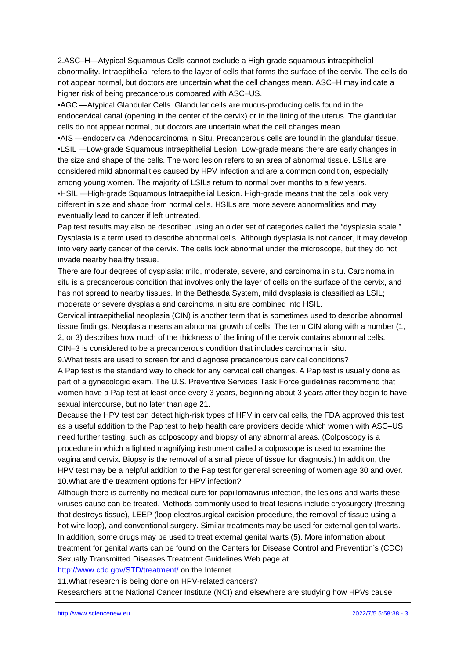2. ASC-H-Atypical Squamous Cells cannot exclude a High-grade squamous intraepithelial abnormality. Intraepithelial refers to the layer of cells that forms the surface of the cervix. The cells do not appear normal, but doctors are uncertain what the cell changes mean. ASC–H may indicate a higher risk of being precancerous compared with ASC–US.

• AGC —Atypical Glandular Cells. Glandular cells are mucus-producing cells found in the endocervical canal (opening in the center of the cervix) or in the lining of the uterus. The glandular cells do not appear normal, but doctors are uncertain what the cell changes mean.

• AIS —endocervical Adenocarcinoma In Situ. Precancerous cells are found in the glandular tissue. • LSIL —Low-grade Squamous Intraepithelial Lesion. Low-grade means there are early changes in the size and shape of the cells. The word lesion refers to an area of abnormal tissue. LSILs are considered mild abnormalities caused by HPV infection and are a common condition, especially among young women. The majority of LSILs return to normal over months to a few years.

• HSIL — High-grade Squamous Intraepithelial Lesion. High-grade means that the cells look very different in size and shape from normal cells. HSILs are more severe abnormalities and may eventually lead to cancer if left untreated.

Pap test results may also be described using an older set of categories called the "dysplasia scale." Dysplasia is a term used to describe abnormal cells. Although dysplasia is not cancer, it may develop into very early cancer of the cervix. The cells look abnormal under the microscope, but they do not invade nearby healthy tissue.

There are four degrees of dysplasia: mild, moderate, severe, and carcinoma in situ. Carcinoma in situ is a precancerous condition that involves only the layer of cells on the surface of the cervix, and has not spread to nearby tissues. In the Bethesda System, mild dysplasia is classified as LSIL; moderate or severe dysplasia and carcinoma in situ are combined into HSIL.

Cervical intraepithelial neoplasia (CIN) is another term that is sometimes used to describe abnormal tissue findings. Neoplasia means an abnormal growth of cells. The term CIN along with a number (1, 2, or 3) describes how much of the thickness of the lining of the cervix contains abnormal cells. CIN–3 is considered to be a precancerous condition that includes carcinoma in situ.

9. What tests are used to screen for and diagnose precancerous cervical conditions?

A Pap test is the standard way to check for any cervical cell changes. A Pap test is usually done as part of a gynecologic exam. The U.S. Preventive Services Task Force guidelines recommend that women have a Pap test at least once every 3 years, beginning about 3 years after they begin to have sexual intercourse, but no later than age 21.

Because the HPV test can detect high-risk types of HPV in cervical cells, the FDA approved this test as a useful addition to the Pap test to help health care providers decide which women with ASC–US need further testing, such as colposcopy and biopsy of any abnormal areas. (Colposcopy is a procedure in which a lighted magnifying instrument called a colposcope is used to examine the vagina and cervix. Biopsy is the removal of a small piece of tissue for diagnosis.) In addition, the HPV test may be a helpful addition to the Pap test for general screening of women age 30 and over. 10. What are the treatment options for HPV infection?

Although there is currently no medical cure for papillomavirus infection, the lesions and warts these viruses cause can be treated. Methods commonly used to treat lesions include cryosurgery (freezing that destroys tissue), LEEP (loop electrosurgical excision procedure, the removal of tissue using a hot wire loop), and conventional surgery. Similar treatments may be used for external genital warts. In addition, some drugs may be used to treat external genital warts (5). More information about treatment for genital warts can be found on the Centers for Disease Control and Prevention's (CDC) Sexually Transmitted Diseases Treatment Guidelines Web page at http://www.cdc.gov/STD/treatment/ on the Internet.

11. What research is being done on HPV-related cancers?

Researchers at the National Cancer Institute (NCI) and elsewhere are studying how HPVs cause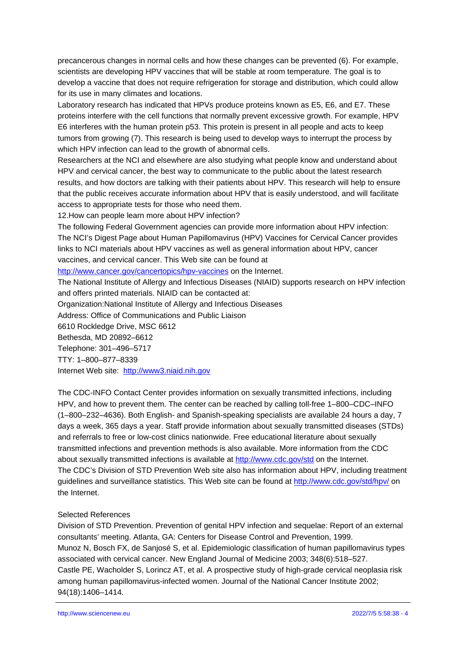precancerous changes in normal cells and how these changes can be prevented (6). For example, scientists are developing HPV vaccines that will be stable at room temperature. The goal is to develop a vaccine that does not require refrigeration for storage and distribution, which could allow for its use in many climates and locations.

Laboratory research has indicated that HPVs produce proteins known as E5, E6, and E7. These proteins interfere with the cell functions that normally prevent excessive growth. For example, HPV E6 interferes with the human protein p53. This protein is present in all people and acts to keep tumors from growing (7). This research is being used to develop ways to interrupt the process by which HPV infection can lead to the growth of abnormal cells.

Researchers at the NCI and elsewhere are also studying what people know and understand about HPV and cervical cancer, the best way to communicate to the public about the latest research results, and how doctors are talking with their patients about HPV. This research will help to ensure that the public receives accurate information about HPV that is easily understood, and will facilitate access to appropriate tests for those who need them.

12. How can people learn more about HPV infection?

The following Federal Government agencies can provide more information about HPV infection: The NCI's Digest Page about Human Papillomavirus (HPV) Vaccines for Cervical Cancer provides links to NCI materials about HPV vaccines as well as general information about HPV, cancer vaccines, and cervical cancer. This Web site can be found at

http://www.cancer.gov/cancertopics/hpv-vaccines on the Internet.

The National Institute of Allergy and Infectious Diseases (NIAID) supports research on HPV infection and offers printed materials. NIAID can be contacted at:

Organization: National Institute of Allergy and Infectious Diseases

Address: Office of Communications and Public Liaison

6610 Rockledge Drive, MSC 6612

Bethesda, MD 20892–6612

Telephone: 301–496–5717

TTY: 1–800–877–8339

Internet Web site: http://www3.niaid.nih.gov

The CDC-INFO Contact Center provides information on sexually transmitted infections, including HPV, and how to prevent them. The center can be reached by calling toll-free 1–800–CDC–INFO (1–800–232–4636[\). Both English- and Spani](http://www3.niaid.nih.gov)sh-speaking specialists are available 24 hours a day, 7 days a week, 365 days a year. Staff provide information about sexually transmitted diseases (STDs) and referrals to free or low-cost clinics nationwide. Free educational literature about sexually transmitted infections and prevention methods is also available. More information from the CDC about sexually transmitted infections is available at http://www.cdc.gov/std on the Internet. The CDC's Division of STD Prevention Web site also has information about HPV, including treatment guidelines and surveillance statistics. This Web site can be found at http://www.cdc.gov/std/hpv/ on the Internet.

## Selected References

Division of STD Prevention. Prevention of genital HPV infection and [sequelae: Report of an exte](http://www.cdc.gov/std/hpv/)rnal consultants' meeting. Atlanta, GA: Centers for Disease Control and Prevention, 1999. Munoz N, Bosch FX, de Sanjosé S, et al. Epidemiologic classification of human papillomavirus types associated with cervical cancer. New England Journal of Medicine 2003; 348(6):518–527. Castle PE, Wacholder S, Lorincz AT, et al. A prospective study of high-grade cervical neoplasia risk among human papillomavirus-infected women. Journal of the National Cancer Institute 2002; 94(18):1406–1414.